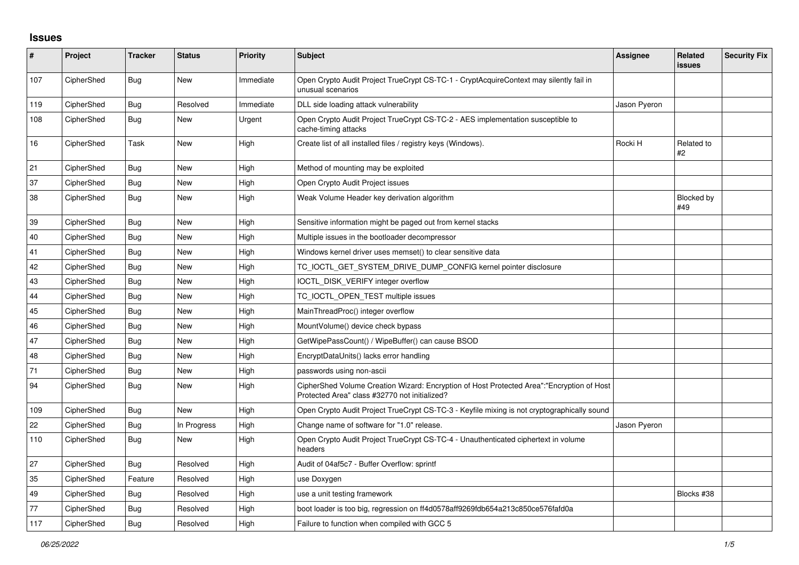## **Issues**

| $\pmb{\sharp}$ | Project    | <b>Tracker</b> | <b>Status</b> | <b>Priority</b> | <b>Subject</b>                                                                                                                             | <b>Assignee</b> | <b>Related</b><br><b>issues</b> | <b>Security Fix</b> |
|----------------|------------|----------------|---------------|-----------------|--------------------------------------------------------------------------------------------------------------------------------------------|-----------------|---------------------------------|---------------------|
| 107            | CipherShed | <b>Bug</b>     | <b>New</b>    | Immediate       | Open Crypto Audit Project TrueCrypt CS-TC-1 - CryptAcquireContext may silently fail in<br>unusual scenarios                                |                 |                                 |                     |
| 119            | CipherShed | Bug            | Resolved      | Immediate       | DLL side loading attack vulnerability                                                                                                      | Jason Pyeron    |                                 |                     |
| 108            | CipherShed | Bug            | New           | Urgent          | Open Crypto Audit Project TrueCrypt CS-TC-2 - AES implementation susceptible to<br>cache-timing attacks                                    |                 |                                 |                     |
| 16             | CipherShed | Task           | <b>New</b>    | High            | Create list of all installed files / registry keys (Windows).                                                                              | Rocki H         | Related to<br>#2                |                     |
| 21             | CipherShed | Bug            | <b>New</b>    | High            | Method of mounting may be exploited                                                                                                        |                 |                                 |                     |
| 37             | CipherShed | Bug            | New           | High            | Open Crypto Audit Project issues                                                                                                           |                 |                                 |                     |
| 38             | CipherShed | <b>Bug</b>     | <b>New</b>    | High            | Weak Volume Header key derivation algorithm                                                                                                |                 | Blocked by<br>#49               |                     |
| 39             | CipherShed | Bug            | New           | High            | Sensitive information might be paged out from kernel stacks                                                                                |                 |                                 |                     |
| 40             | CipherShed | Bug            | <b>New</b>    | High            | Multiple issues in the bootloader decompressor                                                                                             |                 |                                 |                     |
| 41             | CipherShed | Bug            | <b>New</b>    | High            | Windows kernel driver uses memset() to clear sensitive data                                                                                |                 |                                 |                     |
| 42             | CipherShed | Bug            | <b>New</b>    | High            | TC_IOCTL_GET_SYSTEM_DRIVE_DUMP_CONFIG kernel pointer disclosure                                                                            |                 |                                 |                     |
| 43             | CipherShed | <b>Bug</b>     | <b>New</b>    | High            | IOCTL_DISK_VERIFY integer overflow                                                                                                         |                 |                                 |                     |
| 44             | CipherShed | Bug            | <b>New</b>    | High            | TC_IOCTL_OPEN_TEST multiple issues                                                                                                         |                 |                                 |                     |
| 45             | CipherShed | Bug            | <b>New</b>    | High            | MainThreadProc() integer overflow                                                                                                          |                 |                                 |                     |
| 46             | CipherShed | Bug            | <b>New</b>    | High            | MountVolume() device check bypass                                                                                                          |                 |                                 |                     |
| 47             | CipherShed | Bug            | <b>New</b>    | High            | GetWipePassCount() / WipeBuffer() can cause BSOD                                                                                           |                 |                                 |                     |
| 48             | CipherShed | Bug            | <b>New</b>    | High            | EncryptDataUnits() lacks error handling                                                                                                    |                 |                                 |                     |
| 71             | CipherShed | Bug            | <b>New</b>    | High            | passwords using non-ascii                                                                                                                  |                 |                                 |                     |
| 94             | CipherShed | Bug            | <b>New</b>    | High            | CipherShed Volume Creation Wizard: Encryption of Host Protected Area":"Encryption of Host<br>Protected Area" class #32770 not initialized? |                 |                                 |                     |
| 109            | CipherShed | Bug            | <b>New</b>    | High            | Open Crypto Audit Project TrueCrypt CS-TC-3 - Keyfile mixing is not cryptographically sound                                                |                 |                                 |                     |
| 22             | CipherShed | Bug            | In Progress   | High            | Change name of software for "1.0" release.                                                                                                 | Jason Pyeron    |                                 |                     |
| 110            | CipherShed | Bug            | <b>New</b>    | High            | Open Crypto Audit Project TrueCrypt CS-TC-4 - Unauthenticated ciphertext in volume<br>headers                                              |                 |                                 |                     |
| 27             | CipherShed | <b>Bug</b>     | Resolved      | High            | Audit of 04af5c7 - Buffer Overflow: sprintf                                                                                                |                 |                                 |                     |
| 35             | CipherShed | Feature        | Resolved      | High            | use Doxygen                                                                                                                                |                 |                                 |                     |
| 49             | CipherShed | Bug            | Resolved      | High            | use a unit testing framework                                                                                                               |                 | Blocks #38                      |                     |
| 77             | CipherShed | Bug            | Resolved      | High            | boot loader is too big, regression on ff4d0578aff9269fdb654a213c850ce576fafd0a                                                             |                 |                                 |                     |
| 117            | CipherShed | Bug            | Resolved      | High            | Failure to function when compiled with GCC 5                                                                                               |                 |                                 |                     |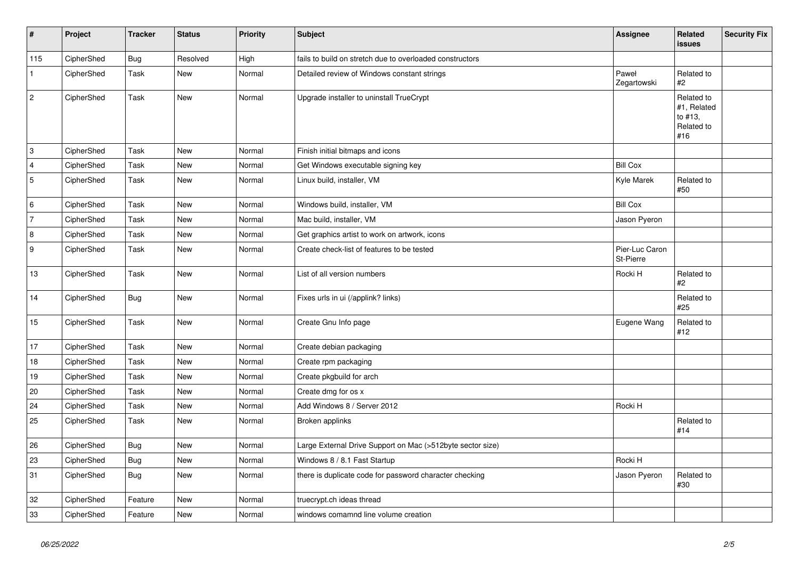| $\vert$ #      | Project    | <b>Tracker</b> | <b>Status</b> | <b>Priority</b> | <b>Subject</b>                                             | Assignee                    | <b>Related</b><br><b>issues</b>                           | Security Fix |
|----------------|------------|----------------|---------------|-----------------|------------------------------------------------------------|-----------------------------|-----------------------------------------------------------|--------------|
| 115            | CipherShed | <b>Bug</b>     | Resolved      | High            | fails to build on stretch due to overloaded constructors   |                             |                                                           |              |
| $\mathbf{1}$   | CipherShed | Task           | New           | Normal          | Detailed review of Windows constant strings                | Paweł<br>Zegartowski        | Related to<br>#2                                          |              |
| $\overline{c}$ | CipherShed | Task           | New           | Normal          | Upgrade installer to uninstall TrueCrypt                   |                             | Related to<br>#1, Related<br>to #13,<br>Related to<br>#16 |              |
| 3              | CipherShed | Task           | New           | Normal          | Finish initial bitmaps and icons                           |                             |                                                           |              |
| $\overline{4}$ | CipherShed | Task           | New           | Normal          | Get Windows executable signing key                         | <b>Bill Cox</b>             |                                                           |              |
| 5              | CipherShed | Task           | New           | Normal          | Linux build, installer, VM                                 | Kyle Marek                  | Related to<br>#50                                         |              |
| 6              | CipherShed | Task           | <b>New</b>    | Normal          | Windows build, installer, VM                               | <b>Bill Cox</b>             |                                                           |              |
| 7              | CipherShed | Task           | New           | Normal          | Mac build, installer, VM                                   | Jason Pyeron                |                                                           |              |
| $\overline{8}$ | CipherShed | Task           | New           | Normal          | Get graphics artist to work on artwork, icons              |                             |                                                           |              |
| 9              | CipherShed | Task           | New           | Normal          | Create check-list of features to be tested                 | Pier-Luc Caron<br>St-Pierre |                                                           |              |
| 13             | CipherShed | Task           | New           | Normal          | List of all version numbers                                | Rocki H                     | Related to<br>#2                                          |              |
| 14             | CipherShed | <b>Bug</b>     | New           | Normal          | Fixes urls in ui (/applink? links)                         |                             | Related to<br>#25                                         |              |
| 15             | CipherShed | Task           | New           | Normal          | Create Gnu Info page                                       | Eugene Wang                 | Related to<br>#12                                         |              |
| 17             | CipherShed | Task           | <b>New</b>    | Normal          | Create debian packaging                                    |                             |                                                           |              |
| 18             | CipherShed | Task           | New           | Normal          | Create rpm packaging                                       |                             |                                                           |              |
| 19             | CipherShed | Task           | New           | Normal          | Create pkgbuild for arch                                   |                             |                                                           |              |
| 20             | CipherShed | Task           | New           | Normal          | Create dmg for os x                                        |                             |                                                           |              |
| 24             | CipherShed | Task           | New           | Normal          | Add Windows 8 / Server 2012                                | Rocki H                     |                                                           |              |
| 25             | CipherShed | Task           | New           | Normal          | Broken applinks                                            |                             | Related to<br>#14                                         |              |
| 26             | CipherShed | <b>Bug</b>     | New           | Normal          | Large External Drive Support on Mac (>512byte sector size) |                             |                                                           |              |
| 23             | CipherShed | <b>Bug</b>     | New           | Normal          | Windows 8 / 8.1 Fast Startup                               | Rocki H                     |                                                           |              |
| 31             | CipherShed | Bug            | New           | Normal          | there is duplicate code for password character checking    | Jason Pyeron                | Related to<br>#30                                         |              |
| 32             | CipherShed | Feature        | New           | Normal          | truecrypt.ch ideas thread                                  |                             |                                                           |              |
| 33             | CipherShed | Feature        | New           | Normal          | windows comamnd line volume creation                       |                             |                                                           |              |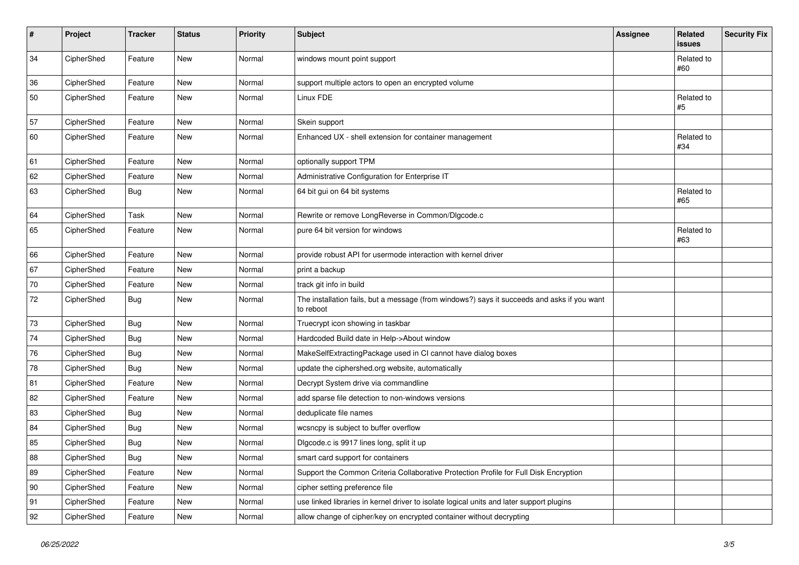| #  | Project    | <b>Tracker</b> | <b>Status</b> | Priority | <b>Subject</b>                                                                                           | <b>Assignee</b> | Related<br>issues | <b>Security Fix</b> |
|----|------------|----------------|---------------|----------|----------------------------------------------------------------------------------------------------------|-----------------|-------------------|---------------------|
| 34 | CipherShed | Feature        | New           | Normal   | windows mount point support                                                                              |                 | Related to<br>#60 |                     |
| 36 | CipherShed | Feature        | New           | Normal   | support multiple actors to open an encrypted volume                                                      |                 |                   |                     |
| 50 | CipherShed | Feature        | New           | Normal   | Linux FDE                                                                                                |                 | Related to<br>#5  |                     |
| 57 | CipherShed | Feature        | <b>New</b>    | Normal   | Skein support                                                                                            |                 |                   |                     |
| 60 | CipherShed | Feature        | New           | Normal   | Enhanced UX - shell extension for container management                                                   |                 | Related to<br>#34 |                     |
| 61 | CipherShed | Feature        | <b>New</b>    | Normal   | optionally support TPM                                                                                   |                 |                   |                     |
| 62 | CipherShed | Feature        | New           | Normal   | Administrative Configuration for Enterprise IT                                                           |                 |                   |                     |
| 63 | CipherShed | <b>Bug</b>     | New           | Normal   | 64 bit gui on 64 bit systems                                                                             |                 | Related to<br>#65 |                     |
| 64 | CipherShed | Task           | New           | Normal   | Rewrite or remove LongReverse in Common/Dlgcode.c                                                        |                 |                   |                     |
| 65 | CipherShed | Feature        | New           | Normal   | pure 64 bit version for windows                                                                          |                 | Related to<br>#63 |                     |
| 66 | CipherShed | Feature        | New           | Normal   | provide robust API for usermode interaction with kernel driver                                           |                 |                   |                     |
| 67 | CipherShed | Feature        | <b>New</b>    | Normal   | print a backup                                                                                           |                 |                   |                     |
| 70 | CipherShed | Feature        | New           | Normal   | track git info in build                                                                                  |                 |                   |                     |
| 72 | CipherShed | <b>Bug</b>     | New           | Normal   | The installation fails, but a message (from windows?) says it succeeds and asks if you want<br>to reboot |                 |                   |                     |
| 73 | CipherShed | Bug            | New           | Normal   | Truecrypt icon showing in taskbar                                                                        |                 |                   |                     |
| 74 | CipherShed | <b>Bug</b>     | <b>New</b>    | Normal   | Hardcoded Build date in Help->About window                                                               |                 |                   |                     |
| 76 | CipherShed | <b>Bug</b>     | New           | Normal   | MakeSelfExtractingPackage used in CI cannot have dialog boxes                                            |                 |                   |                     |
| 78 | CipherShed | Bug            | New           | Normal   | update the ciphershed.org website, automatically                                                         |                 |                   |                     |
| 81 | CipherShed | Feature        | <b>New</b>    | Normal   | Decrypt System drive via commandline                                                                     |                 |                   |                     |
| 82 | CipherShed | Feature        | New           | Normal   | add sparse file detection to non-windows versions                                                        |                 |                   |                     |
| 83 | CipherShed | <b>Bug</b>     | New           | Normal   | deduplicate file names                                                                                   |                 |                   |                     |
| 84 | CipherShed | <b>Bug</b>     | New           | Normal   | wcsncpy is subject to buffer overflow                                                                    |                 |                   |                     |
| 85 | CipherShed | <b>Bug</b>     | New           | Normal   | Digcode.c is 9917 lines long, split it up                                                                |                 |                   |                     |
| 88 | CipherShed | <b>Bug</b>     | New           | Normal   | smart card support for containers                                                                        |                 |                   |                     |
| 89 | CipherShed | Feature        | New           | Normal   | Support the Common Criteria Collaborative Protection Profile for Full Disk Encryption                    |                 |                   |                     |
| 90 | CipherShed | Feature        | New           | Normal   | cipher setting preference file                                                                           |                 |                   |                     |
| 91 | CipherShed | Feature        | New           | Normal   | use linked libraries in kernel driver to isolate logical units and later support plugins                 |                 |                   |                     |
| 92 | CipherShed | Feature        | New           | Normal   | allow change of cipher/key on encrypted container without decrypting                                     |                 |                   |                     |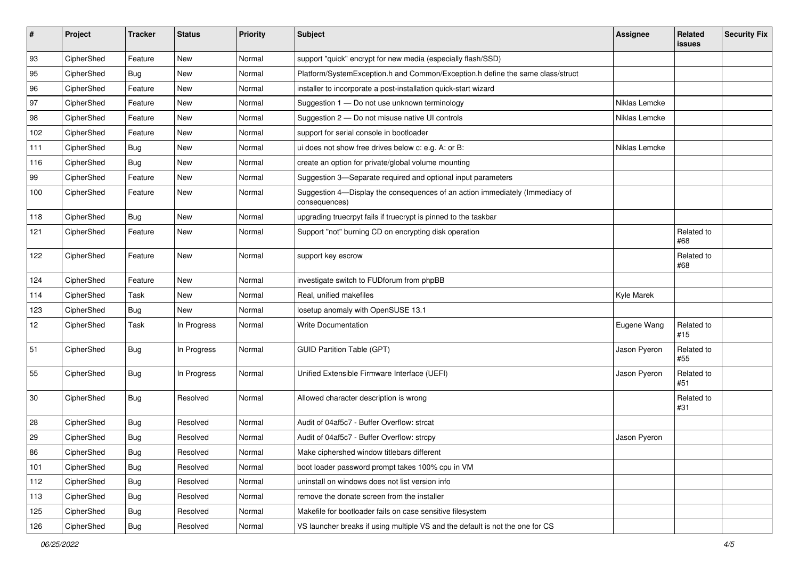| #   | Project    | <b>Tracker</b> | <b>Status</b> | Priority | <b>Subject</b>                                                                                | Assignee      | Related<br>issues | <b>Security Fix</b> |
|-----|------------|----------------|---------------|----------|-----------------------------------------------------------------------------------------------|---------------|-------------------|---------------------|
| 93  | CipherShed | Feature        | New           | Normal   | support "quick" encrypt for new media (especially flash/SSD)                                  |               |                   |                     |
| 95  | CipherShed | <b>Bug</b>     | New           | Normal   | Platform/SystemException.h and Common/Exception.h define the same class/struct                |               |                   |                     |
| 96  | CipherShed | Feature        | New           | Normal   | installer to incorporate a post-installation quick-start wizard                               |               |                   |                     |
| 97  | CipherShed | Feature        | New           | Normal   | Suggestion 1 - Do not use unknown terminology                                                 | Niklas Lemcke |                   |                     |
| 98  | CipherShed | Feature        | New           | Normal   | Suggestion 2 - Do not misuse native UI controls                                               | Niklas Lemcke |                   |                     |
| 102 | CipherShed | Feature        | New           | Normal   | support for serial console in bootloader                                                      |               |                   |                     |
| 111 | CipherShed | <b>Bug</b>     | New           | Normal   | ui does not show free drives below c: e.g. A: or B:                                           | Niklas Lemcke |                   |                     |
| 116 | CipherShed | Bug            | New           | Normal   | create an option for private/global volume mounting                                           |               |                   |                     |
| 99  | CipherShed | Feature        | New           | Normal   | Suggestion 3-Separate required and optional input parameters                                  |               |                   |                     |
| 100 | CipherShed | Feature        | New           | Normal   | Suggestion 4-Display the consequences of an action immediately (Immediacy of<br>consequences) |               |                   |                     |
| 118 | CipherShed | Bug            | <b>New</b>    | Normal   | upgrading truecrpyt fails if truecrypt is pinned to the taskbar                               |               |                   |                     |
| 121 | CipherShed | Feature        | New           | Normal   | Support "not" burning CD on encrypting disk operation                                         |               | Related to<br>#68 |                     |
| 122 | CipherShed | Feature        | New           | Normal   | support key escrow                                                                            |               | Related to<br>#68 |                     |
| 124 | CipherShed | Feature        | <b>New</b>    | Normal   | investigate switch to FUDforum from phpBB                                                     |               |                   |                     |
| 114 | CipherShed | Task           | New           | Normal   | Real, unified makefiles                                                                       | Kyle Marek    |                   |                     |
| 123 | CipherShed | <b>Bug</b>     | New           | Normal   | losetup anomaly with OpenSUSE 13.1                                                            |               |                   |                     |
| 12  | CipherShed | Task           | In Progress   | Normal   | <b>Write Documentation</b>                                                                    | Eugene Wang   | Related to<br>#15 |                     |
| 51  | CipherShed | Bug            | In Progress   | Normal   | <b>GUID Partition Table (GPT)</b>                                                             | Jason Pyeron  | Related to<br>#55 |                     |
| 55  | CipherShed | Bug            | In Progress   | Normal   | Unified Extensible Firmware Interface (UEFI)                                                  | Jason Pyeron  | Related to<br>#51 |                     |
| 30  | CipherShed | Bug            | Resolved      | Normal   | Allowed character description is wrong                                                        |               | Related to<br>#31 |                     |
| 28  | CipherShed | Bug            | Resolved      | Normal   | Audit of 04af5c7 - Buffer Overflow: strcat                                                    |               |                   |                     |
| 29  | CipherShed | Bug            | Resolved      | Normal   | Audit of 04af5c7 - Buffer Overflow: strcpy                                                    | Jason Pyeron  |                   |                     |
| 86  | CipherShed | <b>Bug</b>     | Resolved      | Normal   | Make ciphershed window titlebars different                                                    |               |                   |                     |
| 101 | CipherShed | Bug            | Resolved      | Normal   | boot loader password prompt takes 100% cpu in VM                                              |               |                   |                     |
| 112 | CipherShed | <b>Bug</b>     | Resolved      | Normal   | uninstall on windows does not list version info                                               |               |                   |                     |
| 113 | CipherShed | Bug            | Resolved      | Normal   | remove the donate screen from the installer                                                   |               |                   |                     |
| 125 | CipherShed | <b>Bug</b>     | Resolved      | Normal   | Makefile for bootloader fails on case sensitive filesystem                                    |               |                   |                     |
| 126 | CipherShed | Bug            | Resolved      | Normal   | VS launcher breaks if using multiple VS and the default is not the one for CS                 |               |                   |                     |